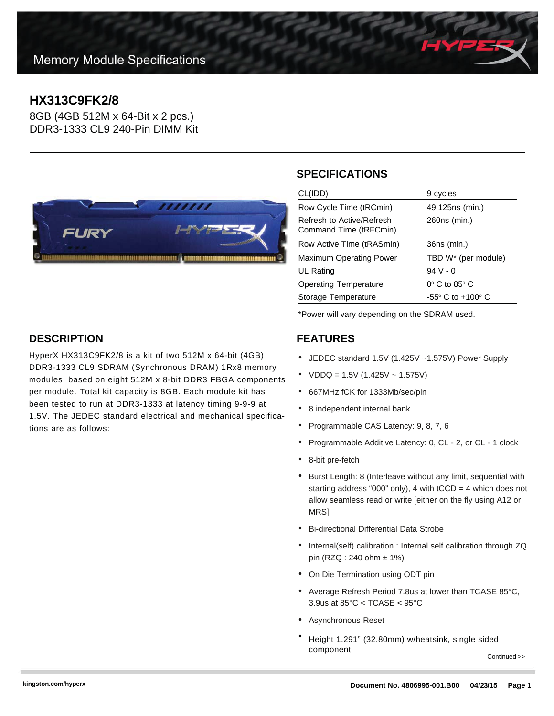# **HX313C9FK2/8**

8GB (4GB 512M x 64-Bit x 2 pcs.) DDR3-1333 CL9 240-Pin DIMM Kit



## **SPECIFICATIONS**

| CL(IDD)                                             | 9 cycles                            |
|-----------------------------------------------------|-------------------------------------|
| Row Cycle Time (tRCmin)                             | 49.125ns (min.)                     |
| Refresh to Active/Refresh<br>Command Time (tRFCmin) | 260ns (min.)                        |
| Row Active Time (tRASmin)                           | 36ns (min.)                         |
| <b>Maximum Operating Power</b>                      | TBD W <sup>*</sup> (per module)     |
| UL Rating                                           | $94V - 0$                           |
| <b>Operating Temperature</b>                        | $0^\circ$ C to 85 $^\circ$ C        |
| Storage Temperature                                 | $-55^{\circ}$ C to $+100^{\circ}$ C |
|                                                     |                                     |

\*Power will vary depending on the SDRAM used.

#### **FEATURES**

- JEDEC standard 1.5V (1.425V ~1.575V) Power Supply
- $VDDQ = 1.5V (1.425V 1.575V)$
- 667MHz fCK for 1333Mb/sec/pin
- 8 independent internal bank
- Programmable CAS Latency: 9, 8, 7, 6
- Programmable Additive Latency: 0, CL 2, or CL 1 clock
- 8-bit pre-fetch
- Burst Length: 8 (Interleave without any limit, sequential with starting address "000" only), 4 with  $tCCD = 4$  which does not allow seamless read or write [either on the fly using A12 or **MRS1**
- Bi-directional Differential Data Strobe
- Internal(self) calibration : Internal self calibration through ZQ pin (RZQ : 240 ohm ± 1%)
- On Die Termination using ODT pin
- Average Refresh Period 7.8us at lower than TCASE 85°C, 3.9us at  $85^{\circ}$ C < TCASE  $\leq$  95 $^{\circ}$ C
- Asynchronous Reset
- Height 1.291" (32.80mm) w/heatsink, single sided component

Continued >>



HyperX HX313C9FK2/8 is a kit of two 512M x 64-bit (4GB) DDR3-1333 CL9 SDRAM (Synchronous DRAM) 1Rx8 memory modules, based on eight 512M x 8-bit DDR3 FBGA components per module. Total kit capacity is 8GB. Each module kit has been tested to run at DDR3-1333 at latency timing 9-9-9 at 1.5V. The JEDEC standard electrical and mechanical specifications are as follows: